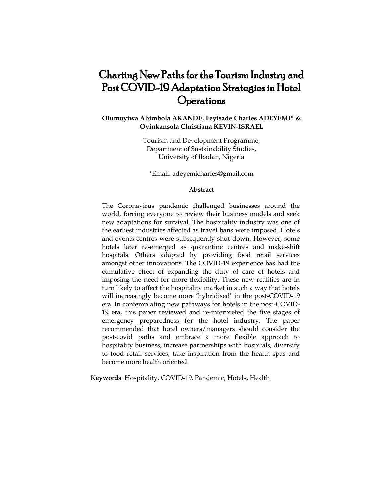# Charting New Paths for the Tourism Industry and Post COVID-19 Adaptation Strategies in Hotel **Operations**

# **Olumuyiwa Abimbola AKANDE, Feyisade Charles ADEYEMI\* & Oyinkansola Christiana KEVIN-ISRAEL**

Tourism and Development Programme, Department of Sustainability Studies, University of Ibadan, Nigeria

\*Email: [adeyemicharles@gmail.com](mailto:adeyemicharles@gmail.com)

### **Abstract**

The Coronavirus pandemic challenged businesses around the world, forcing everyone to review their business models and seek new adaptations for survival. The hospitality industry was one of the earliest industries affected as travel bans were imposed. Hotels and events centres were subsequently shut down. However, some hotels later re-emerged as quarantine centres and make-shift hospitals. Others adapted by providing food retail services amongst other innovations. The COVID-19 experience has had the cumulative effect of expanding the duty of care of hotels and imposing the need for more flexibility. These new realities are in turn likely to affect the hospitality market in such a way that hotels will increasingly become more 'hybridised' in the post-COVID-19 era. In contemplating new pathways for hotels in the post-COVID-19 era, this paper reviewed and re-interpreted the five stages of emergency preparedness for the hotel industry. The paper recommended that hotel owners/managers should consider the post-covid paths and embrace a more flexible approach to hospitality business, increase partnerships with hospitals, diversify to food retail services, take inspiration from the health spas and become more health oriented.

**Keywords**: Hospitality, COVID-19, Pandemic, Hotels, Health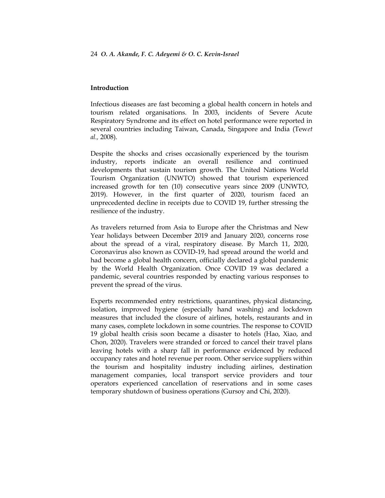## **Introduction**

Infectious diseases are fast becoming a global health concern in hotels and tourism related organisations. In 2003, incidents of Severe Acute Respiratory Syndrome and its effect on hotel performance were reported in several countries including Taiwan, Canada, Singapore and India (Tew*et al.,* 2008).

Despite the shocks and crises occasionally experienced by the tourism industry, reports indicate an overall resilience and continued developments that sustain tourism growth. The United Nations World Tourism Organization (UNWTO) showed that tourism experienced increased growth for ten (10) consecutive years since 2009 (UNWTO, 2019). However, in the first quarter of 2020, tourism faced an unprecedented decline in receipts due to COVID 19, further stressing the resilience of the industry.

As travelers returned from Asia to Europe after the Christmas and New Year holidays between December 2019 and January 2020, concerns rose about the spread of a viral, respiratory disease. By March 11, 2020, Coronavirus also known as COVID-19, had spread around the world and had become a global health concern, officially declared a global pandemic by the World Health Organization. Once COVID 19 was declared a pandemic, several countries responded by enacting various responses to prevent the spread of the virus.

Experts recommended entry restrictions, quarantines, physical distancing, isolation, improved hygiene (especially hand washing) and lockdown measures that included the closure of airlines, hotels, restaurants and in many cases, complete lockdown in some countries. The response to COVID 19 global health crisis soon became a disaster to hotels (Hao, Xiao, and Chon, 2020). Travelers were stranded or forced to cancel their travel plans leaving hotels with a sharp fall in performance evidenced by reduced occupancy rates and hotel revenue per room. Other service suppliers within the tourism and hospitality industry including airlines, destination management companies, local transport service providers and tour operators experienced cancellation of reservations and in some cases temporary shutdown of business operations (Gursoy and Chi, 2020).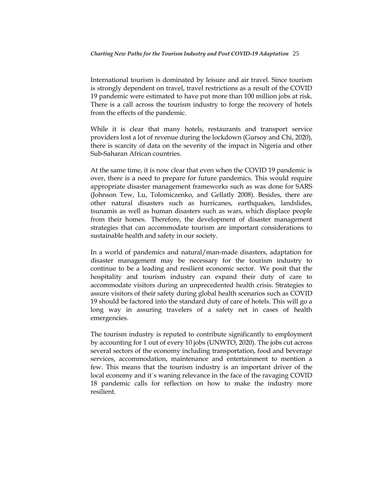International tourism is dominated by leisure and air travel. Since tourism is strongly dependent on travel, travel restrictions as a result of the COVID 19 pandemic were estimated to have put more than 100 million jobs at risk. There is a call across the tourism industry to forge the recovery of hotels from the effects of the pandemic.

While it is clear that many hotels, restaurants and transport service providers lost a lot of revenue during the lockdown (Gursoy and Chi, 2020), there is scarcity of data on the severity of the impact in Nigeria and other Sub-Saharan African countries.

At the same time, it is now clear that even when the COVID 19 pandemic is over, there is a need to prepare for future pandemics. This would require appropriate disaster management frameworks such as was done for SARS (Johnson Tew, Lu, Tolomiczenko, and Gellatly 2008). Besides, there are other natural disasters such as hurricanes, earthquakes, landslides, tsunamis as well as human disasters such as wars, which displace people from their homes. Therefore, the development of disaster management strategies that can accommodate tourism are important considerations to sustainable health and safety in our society.

In a world of pandemics and natural/man-made disasters, adaptation for disaster management may be necessary for the tourism industry to continue to be a leading and resilient economic sector. We posit that the hospitality and tourism industry can expand their duty of care to accommodate visitors during an unprecedented health crisis. Strategies to assure visitors of their safety during global health scenarios such as COVID 19 should be factored into the standard duty of care of hotels. This will go a long way in assuring travelers of a safety net in cases of health emergencies.

The tourism industry is reputed to contribute significantly to employment by accounting for 1 out of every 10 jobs (UNWTO, 2020). The jobs cut across several sectors of the economy including transportation, food and beverage services, accommodation, maintenance and entertainment to mention a few. This means that the tourism industry is an important driver of the local economy and it`s waning relevance in the face of the ravaging COVID 18 pandemic calls for reflection on how to make the industry more resilient.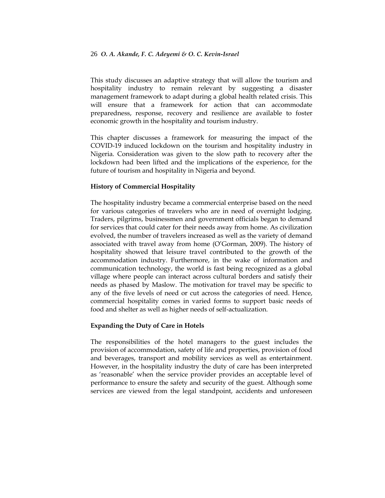This study discusses an adaptive strategy that will allow the tourism and hospitality industry to remain relevant by suggesting a disaster management framework to adapt during a global health related crisis. This will ensure that a framework for action that can accommodate preparedness, response, recovery and resilience are available to foster economic growth in the hospitality and tourism industry.

This chapter discusses a framework for measuring the impact of the COVID-19 induced lockdown on the tourism and hospitality industry in Nigeria. Consideration was given to the slow path to recovery after the lockdown had been lifted and the implications of the experience, for the future of tourism and hospitality in Nigeria and beyond.

## **History of Commercial Hospitality**

The hospitality industry became a commercial enterprise based on the need for various categories of travelers who are in need of overnight lodging. Traders, pilgrims, businessmen and government officials began to demand for services that could cater for their needs away from home. As civilization evolved, the number of travelers increased as well as the variety of demand associated with travel away from home (O"Gorman, 2009). The history of hospitality showed that leisure travel contributed to the growth of the accommodation industry. Furthermore, in the wake of information and communication technology, the world is fast being recognized as a global village where people can interact across cultural borders and satisfy their needs as phased by Maslow. The motivation for travel may be specific to any of the five levels of need or cut across the categories of need. Hence, commercial hospitality comes in varied forms to support basic needs of food and shelter as well as higher needs of self-actualization.

## **Expanding the Duty of Care in Hotels**

The responsibilities of the hotel managers to the guest includes the provision of accommodation, safety of life and properties, provision of food and beverages, transport and mobility services as well as entertainment. However, in the hospitality industry the duty of care has been interpreted as "reasonable" when the service provider provides an acceptable level of performance to ensure the safety and security of the guest. Although some services are viewed from the legal standpoint, accidents and unforeseen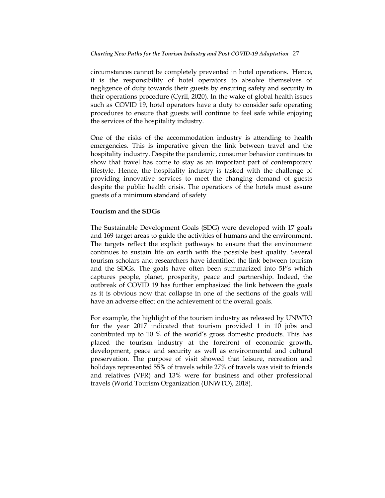circumstances cannot be completely prevented in hotel operations. Hence, it is the responsibility of hotel operators to absolve themselves of negligence of duty towards their guests by ensuring safety and security in their operations procedure (Cyril, 2020). In the wake of global health issues such as COVID 19, hotel operators have a duty to consider safe operating procedures to ensure that guests will continue to feel safe while enjoying the services of the hospitality industry.

One of the risks of the accommodation industry is attending to health emergencies. This is imperative given the link between travel and the hospitality industry. Despite the pandemic, consumer behavior continues to show that travel has come to stay as an important part of contemporary lifestyle. Hence, the hospitality industry is tasked with the challenge of providing innovative services to meet the changing demand of guests despite the public health crisis. The operations of the hotels must assure guests of a minimum standard of safety

## **Tourism and the SDGs**

The Sustainable Development Goals (SDG) were developed with 17 goals and 169 target areas to guide the activities of humans and the environment. The targets reflect the explicit pathways to ensure that the environment continues to sustain life on earth with the possible best quality. Several tourism scholars and researchers have identified the link between tourism and the SDGs. The goals have often been summarized into 5P"s which captures people, planet, prosperity, peace and partnership. Indeed, the outbreak of COVID 19 has further emphasized the link between the goals as it is obvious now that collapse in one of the sections of the goals will have an adverse effect on the achievement of the overall goals.

For example, the highlight of the tourism industry as released by UNWTO for the year 2017 indicated that tourism provided 1 in 10 jobs and contributed up to 10 % of the world"s gross domestic products. This has placed the tourism industry at the forefront of economic growth, development, peace and security as well as environmental and cultural preservation. The purpose of visit showed that leisure, recreation and holidays represented 55% of travels while 27% of travels was visit to friends and relatives (VFR) and 13% were for business and other professional travels (World Tourism Organization (UNWTO), 2018).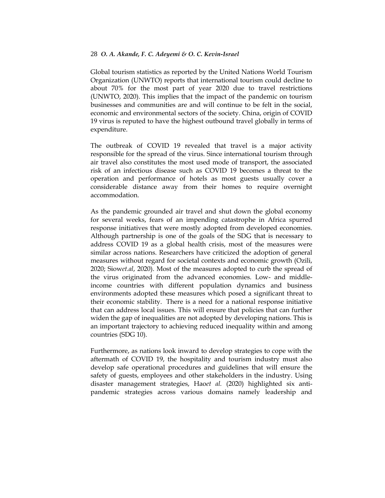Global tourism statistics as reported by the United Nations World Tourism Organization (UNWTO) reports that international tourism could decline to about 70% for the most part of year 2020 due to travel restrictions (UNWTO, 2020). This implies that the impact of the pandemic on tourism businesses and communities are and will continue to be felt in the social, economic and environmental sectors of the society. China, origin of COVID 19 virus is reputed to have the highest outbound travel globally in terms of expenditure.

The outbreak of COVID 19 revealed that travel is a major activity responsible for the spread of the virus. Since international tourism through air travel also constitutes the most used mode of transport, the associated risk of an infectious disease such as COVID 19 becomes a threat to the operation and performance of hotels as most guests usually cover a considerable distance away from their homes to require overnight accommodation.

As the pandemic grounded air travel and shut down the global economy for several weeks, fears of an impending catastrophe in Africa spurred response initiatives that were mostly adopted from developed economies. Although partnership is one of the goals of the SDG that is necessary to address COVID 19 as a global health crisis, most of the measures were similar across nations. Researchers have criticized the adoption of general measures without regard for societal contexts and economic growth (Ozili, 2020; Siow*et.al*, 2020). Most of the measures adopted to curb the spread of the virus originated from the advanced economies. Low- and middleincome countries with different population dynamics and business environments adopted these measures which posed a significant threat to their economic stability. There is a need for a national response initiative that can address local issues. This will ensure that policies that can further widen the gap of inequalities are not adopted by developing nations. This is an important trajectory to achieving reduced inequality within and among countries (SDG 10).

Furthermore, as nations look inward to develop strategies to cope with the aftermath of COVID 19, the hospitality and tourism industry must also develop safe operational procedures and guidelines that will ensure the safety of guests, employees and other stakeholders in the industry. Using disaster management strategies, Hao*et al.* (2020) highlighted six antipandemic strategies across various domains namely leadership and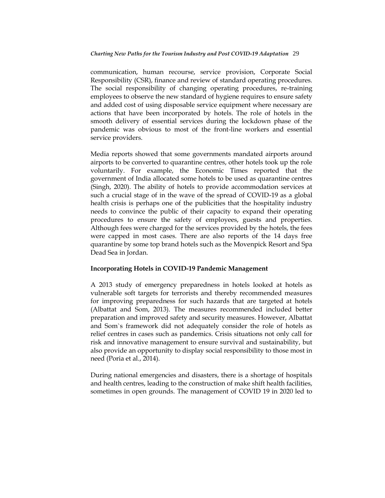communication, human recourse, service provision, Corporate Social Responsibility (CSR), finance and review of standard operating procedures. The social responsibility of changing operating procedures, re-training employees to observe the new standard of hygiene requires to ensure safety and added cost of using disposable service equipment where necessary are actions that have been incorporated by hotels. The role of hotels in the smooth delivery of essential services during the lockdown phase of the pandemic was obvious to most of the front-line workers and essential service providers.

Media reports showed that some governments mandated airports around airports to be converted to quarantine centres, other hotels took up the role voluntarily. For example, the Economic Times reported that the government of India allocated some hotels to be used as quarantine centres (Singh, 2020). The ability of hotels to provide accommodation services at such a crucial stage of in the wave of the spread of COVID-19 as a global health crisis is perhaps one of the publicities that the hospitality industry needs to convince the public of their capacity to expand their operating procedures to ensure the safety of employees, guests and properties. Although fees were charged for the services provided by the hotels, the fees were capped in most cases. There are also reports of the 14 days free quarantine by some top brand hotels such as the Movenpick Resort and Spa Dead Sea in Jordan.

# **Incorporating Hotels in COVID-19 Pandemic Management**

A 2013 study of emergency preparedness in hotels looked at hotels as vulnerable soft targets for terrorists and thereby recommended measures for improving preparedness for such hazards that are targeted at hotels (Albattat and Som, 2013). The measures recommended included better preparation and improved safety and security measures. However, Albattat and Som`s framework did not adequately consider the role of hotels as relief centres in cases such as pandemics. Crisis situations not only call for risk and innovative management to ensure survival and sustainability, but also provide an opportunity to display social responsibility to those most in need (Poria et al., 2014).

During national emergencies and disasters, there is a shortage of hospitals and health centres, leading to the construction of make shift health facilities, sometimes in open grounds. The management of COVID 19 in 2020 led to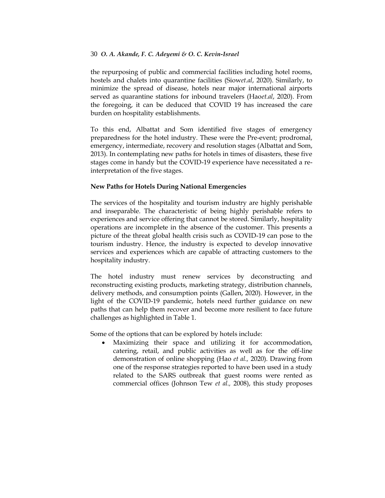the repurposing of public and commercial facilities including hotel rooms, hostels and chalets into quarantine facilities (Siow*et.al*, 2020). Similarly, to minimize the spread of disease, hotels near major international airports served as quarantine stations for inbound travelers (Hao*et.al*, 2020). From the foregoing, it can be deduced that COVID 19 has increased the care burden on hospitality establishments.

To this end, Albattat and Som identified five stages of emergency preparedness for the hotel industry. These were the Pre-event; prodromal, emergency, intermediate, recovery and resolution stages (Albattat and Som, 2013). In contemplating new paths for hotels in times of disasters, these five stages come in handy but the COVID-19 experience have necessitated a reinterpretation of the five stages.

# **New Paths for Hotels During National Emergencies**

The services of the hospitality and tourism industry are highly perishable and inseparable. The characteristic of being highly perishable refers to experiences and service offering that cannot be stored. Similarly, hospitality operations are incomplete in the absence of the customer. This presents a picture of the threat global health crisis such as COVID-19 can pose to the tourism industry. Hence, the industry is expected to develop innovative services and experiences which are capable of attracting customers to the hospitality industry.

The hotel industry must renew services by deconstructing and reconstructing existing products, marketing strategy, distribution channels, delivery methods, and consumption points (Gallen, 2020). However, in the light of the COVID-19 pandemic, hotels need further guidance on new paths that can help them recover and become more resilient to face future challenges as highlighted in Table 1.

Some of the options that can be explored by hotels include:

 Maximizing their space and utilizing it for accommodation, catering, retail, and public activities as well as for the off-line demonstration of online shopping (Hao *et al.,* 2020). Drawing from one of the response strategies reported to have been used in a study related to the SARS outbreak that guest rooms were rented as commercial offices (Johnson Tew *et al.,* 2008), this study proposes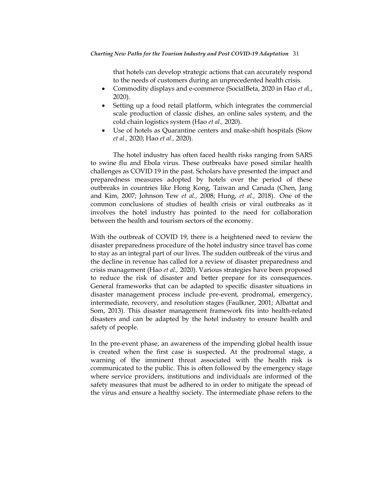that hotels can develop strategic actions that can accurately respond to the needs of customers during an unprecedented health crisis.

- Commodity displays and e-commerce (SocialBeta, 2020 in Hao *et a*l., 2020).
- Setting up a food retail platform, which integrates the commercial scale production of classic dishes, an online sales system, and the cold chain logistics system (Hao *et al.,* 2020).
- Use of hotels as Quarantine centers and make-shift hospitals (Siow *et al.,* 2020; Hao *et al.,* 2020).

The hotel industry has often faced health risks ranging from SARS to swine flu and Ebola virus. These outbreaks have posed similar health challenges as COVID 19 in the past. Scholars have presented the impact and preparedness measures adopted by hotels over the period of these outbreaks in countries like Hong Kong, Taiwan and Canada (Chen, Jang and Kim, 2007; Johnson Tew *et al.,* 2008; Hung, *et al.,* 2018). One of the common conclusions of studies of health crisis or viral outbreaks as it involves the hotel industry has pointed to the need for collaboration between the health and tourism sectors of the economy.

With the outbreak of COVID 19, there is a heightened need to review the disaster preparedness procedure of the hotel industry since travel has come to stay as an integral part of our lives. The sudden outbreak of the virus and the decline in revenue has called for a review of disaster preparedness and crisis management (Hao *et al.,* 2020). Various strategies have been proposed to reduce the risk of disaster and better prepare for its consequences. General frameworks that can be adapted to specific disaster situations in disaster management process include pre-event, prodromal, emergency, intermediate, recovery, and resolution stages (Faulkner, 2001; Albattat and Som, 2013). This disaster management framework fits into health-related disasters and can be adapted by the hotel industry to ensure health and safety of people.

In the pre-event phase, an awareness of the impending global health issue is created when the first case is suspected. At the prodromal stage, a warning of the imminent threat associated with the health risk is communicated to the public. This is often followed by the emergency stage where service providers, institutions and individuals are informed of the safety measures that must be adhered to in order to mitigate the spread of the virus and ensure a healthy society. The intermediate phase refers to the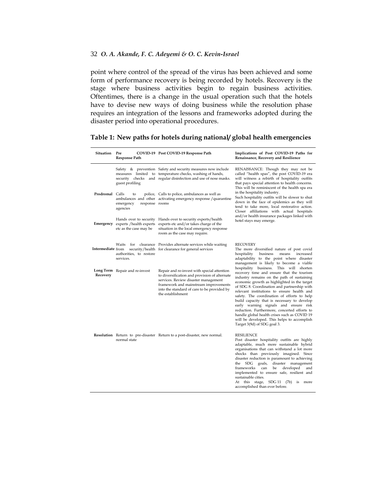point where control of the spread of the virus has been achieved and some form of performance recovery is being recorded by hotels. Recovery is the stage where business activities begin to regain business activities. Oftentimes, there is a change in the usual operation such that the hotels have to devise new ways of doing business while the resolution phase requires an integration of the lessons and frameworks adopted during the disaster period into operational procedures.

| Situation         | Pre<br>Response Path                                                                          | COVID-19 Post COVID-19 Response Path                                                                                                                                                                                                              | Implications of Post COVID-19 Paths for<br>Renaissance, Recovery and Resilience                                                                                                                                                                                                                                                                                                                                                                                                                                                                                                                      |
|-------------------|-----------------------------------------------------------------------------------------------|---------------------------------------------------------------------------------------------------------------------------------------------------------------------------------------------------------------------------------------------------|------------------------------------------------------------------------------------------------------------------------------------------------------------------------------------------------------------------------------------------------------------------------------------------------------------------------------------------------------------------------------------------------------------------------------------------------------------------------------------------------------------------------------------------------------------------------------------------------------|
|                   | guest profiling                                                                               | Safety & prevention Safety and security measures now include<br>measures limited to temperature checks, washing of hands,<br>security checks and regular disinfection and use of nose masks.                                                      | RENAISSANCE: Though they may not be<br>called "health spas", the post COVID-19 era<br>will witness a rebirth of hospitality outfits<br>that pays special attention to health concerns.<br>This will be reminiscent of the health spa era<br>in the hospitality industry.<br>Such hospitality outfits will be slower to shut<br>down in the face of epidemics as they will<br>tend to take more, local restorative action.<br>Closer affiliations with actual hospitals<br>and/or health insurance packages linked with<br>hotel stays may emerge.                                                    |
| Prodromal         | Calls<br>to<br>emergency<br>response rooms<br>agencies                                        | police, Calls to police, ambulances as well as<br>ambulances and other activating emergency response / quarantine                                                                                                                                 |                                                                                                                                                                                                                                                                                                                                                                                                                                                                                                                                                                                                      |
|                   | Hands over to security<br><b>Emergency</b> experts / health experts<br>etc as the case may be | Hands over to security experts/health<br>experts etc and/or takes charge of the<br>situation in the local emergency response<br>room as the case may require.                                                                                     |                                                                                                                                                                                                                                                                                                                                                                                                                                                                                                                                                                                                      |
| Intermediate from | Waits<br>authorities, to restore<br>services.                                                 | for clearance Provides alternate services while waiting<br>security/health for clearance for general services                                                                                                                                     | RECOVERY<br>The more diversified nature of post covid<br>hospitality<br>business<br>means increased<br>adaptability to the point where disaster<br>management is likely to become a viable                                                                                                                                                                                                                                                                                                                                                                                                           |
| Recovery          | Long Term Repair and re-invest                                                                | Repair and re-invest with special attention<br>to diversification and provision of alternate<br>services. Review disaster management<br>framework and mainstream improvements<br>into the standard of care to be provided by<br>the establishment | hospitality business. This will shorten<br>recovery time and ensure that the tourism<br>industry remains on the path of sustaining<br>economic growth as highlighted in the target<br>of SDG 8. Coordination and partnership with<br>relevant institutions to ensure health and<br>safety. The coordination of efforts to help<br>build capacity that is necessary to develop<br>early warning signals and ensure risk<br>reduction. Furthermore, concerted efforts to<br>handle global health crises such as COVID 19<br>will be developed. This helps to accomplish<br>Target 3(9d) of SDG goal 3. |
|                   | normal state                                                                                  | <b>Resolution</b> Return to pre-disaster Return to a post-disaster, new normal.                                                                                                                                                                   | RESILIENCE<br>Post disaster hospitality outfits are highly<br>adaptable, much more sustainable hybrid<br>organisations that can withstand a lot more<br>shocks than previously imagined. Since<br>disaster reduction is paramount to achieving<br>the SDG goals,<br>disaster management<br>frameworks<br>developed<br>can<br>be<br>and<br>implemented to ensure safe, resilient and<br>sustainable cities.<br>At this stage, SDG 11 (7b) is more<br>accomplished than ever before.                                                                                                                   |

#### **Table 1: New paths for hotels during national/ global health emergencies**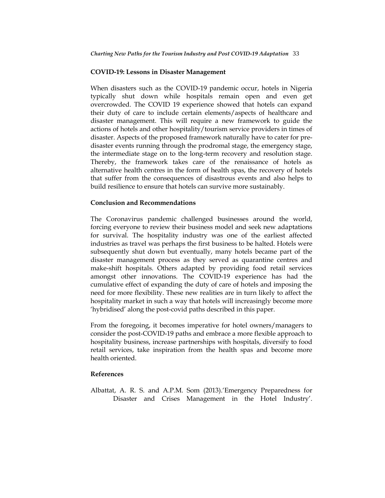## **COVID-19: Lessons in Disaster Management**

When disasters such as the COVID-19 pandemic occur, hotels in Nigeria typically shut down while hospitals remain open and even get overcrowded. The COVID 19 experience showed that hotels can expand their duty of care to include certain elements/aspects of healthcare and disaster management. This will require a new framework to guide the actions of hotels and other hospitality/tourism service providers in times of disaster. Aspects of the proposed framework naturally have to cater for predisaster events running through the prodromal stage, the emergency stage, the intermediate stage on to the long-term recovery and resolution stage. Thereby, the framework takes care of the renaissance of hotels as alternative health centres in the form of health spas, the recovery of hotels that suffer from the consequences of disastrous events and also helps to build resilience to ensure that hotels can survive more sustainably.

#### **Conclusion and Recommendations**

The Coronavirus pandemic challenged businesses around the world, forcing everyone to review their business model and seek new adaptations for survival. The hospitality industry was one of the earliest affected industries as travel was perhaps the first business to be halted. Hotels were subsequently shut down but eventually, many hotels became part of the disaster management process as they served as quarantine centres and make-shift hospitals. Others adapted by providing food retail services amongst other innovations. The COVID-19 experience has had the cumulative effect of expanding the duty of care of hotels and imposing the need for more flexibility. These new realities are in turn likely to affect the hospitality market in such a way that hotels will increasingly become more "hybridised" along the post-covid paths described in this paper.

From the foregoing, it becomes imperative for hotel owners/managers to consider the post-COVID-19 paths and embrace a more flexible approach to hospitality business, increase partnerships with hospitals, diversify to food retail services, take inspiration from the health spas and become more health oriented.

#### **References**

Albattat, A. R. S. and A.P.M. Som (2013). Emergency Preparedness for Disaster and Crises Management in the Hotel Industry'.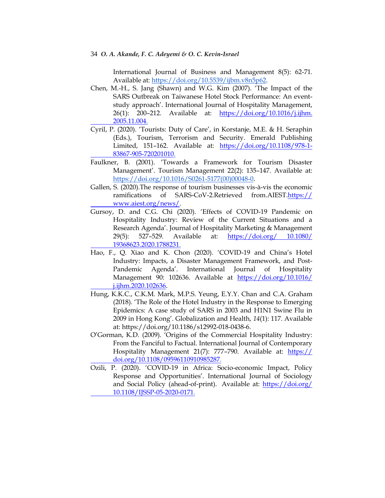International Journal of Business and Management 8(5): 62-71. Available at: [https://doi.org/10.5539/ijbm.v8n5p62.](https://doi.org/10.5539/ijbm.v8n5p62)

- Chen, M.-H., S. Jang (Shawn) and W.G. Kim (2007). "The Impact of the SARS Outbreak on Taiwanese Hotel Stock Performance: An eventstudy approach". International Journal of Hospitality Management, 26(1): 200–212. Available at: [https://doi.org/10.1016/j.ijhm.](https://doi.org/10.1016/j.ijhm.%20%092005.11.004)  [2005.11.004.](https://doi.org/10.1016/j.ijhm.%20%092005.11.004)
- Cyril, P. (2020). 'Tourists: Duty of Care', in Korstanje, M.E. & H. Seraphin (Eds.), Tourism, Terrorism and Security. Emerald Publishing Limited, 151–162. Available at: [https://doi.org/10.1108/978-1-](https://doi.org/10.1108/978-1-%0983867-905-720201010) [83867-905-720201010.](https://doi.org/10.1108/978-1-%0983867-905-720201010)
- Faulkner, B. (2001). "Towards a Framework for Tourism Disaster Management'. Tourism Management 22(2): 135-147. Available at: [https://doi.org/10.1016/S0261-5177\(00\)00048-0](https://doi.org/10.1016/S0261-5177(00)00048-0).
- Gallen, S. (2020).The response of tourism businesses vis-à-vis the economic ramifications of SARS-CoV-2.Retrieved from.AIEST.https:// www.aiest.org/news/.
- Gursoy, D. and C.G. Chi (2020). "Effects of COVID-19 Pandemic on Hospitality Industry: Review of the Current Situations and a Research Agenda". Journal of Hospitality Marketing & Management 29(5): 527–529. Available at: [https://doi.org/ 10.1080/](https://doi.org/%2010.1080/%20%0919368623.2020.1788231)  [19368623.2020.1788231.](https://doi.org/%2010.1080/%20%0919368623.2020.1788231)
- Hao, F., Q. Xiao and K. Chon (2020). 'COVID-19 and China's Hotel Industry: Impacts, a Disaster Management Framework, and Post-Pandemic Agenda'. International Journal of Hospitality Management 90: 102636. Available at [https://doi.org/10.1016/](https://doi.org/10.1016/%20%09j.ijhm.2020.102636)  [j.ijhm.2020.102636](https://doi.org/10.1016/%20%09j.ijhm.2020.102636).
- Hung, K.K.C., C.K.M. Mark, M.P.S. Yeung, E.Y.Y. Chan and C.A. Graham (2018). "The Role of the Hotel Industry in the Response to Emerging Epidemics: A case study of SARS in 2003 and H1N1 Swine Flu in 2009 in Hong Kong". Globalization and Health, *14*(1): 117. Available at: https://doi.org/10.1186/s12992-018-0438-6.
- O"Gorman, K.D. (2009). "Origins of the Commercial Hospitality Industry: From the Fanciful to Factual. International Journal of Contemporary Hospitality Management 21(7): 777-790. Available at: https:// doi.org/10.1108/09596110910985287.
- Ozili, P. (2020). "COVID-19 in Africa: Socio-economic Impact, Policy Response and Opportunities'. International Journal of Sociology and Social Policy (ahead-of-print). Available at: [https://doi.org/](https://doi.org/%20%0910.1108/IJSSP-05-2020-0171)  [10.1108/IJSSP-05-2020-0171.](https://doi.org/%20%0910.1108/IJSSP-05-2020-0171)